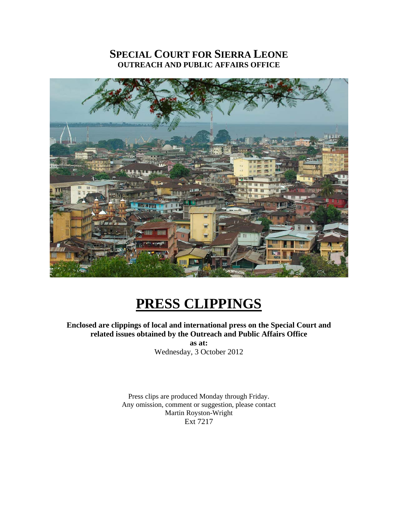# **SPECIAL COURT FOR SIERRA LEONE OUTREACH AND PUBLIC AFFAIRS OFFICE**



# **PRESS CLIPPINGS**

# **Enclosed are clippings of local and international press on the Special Court and related issues obtained by the Outreach and Public Affairs Office**

**as at:**  Wednesday, 3 October 2012

Press clips are produced Monday through Friday. Any omission, comment or suggestion, please contact Martin Royston-Wright Ext 7217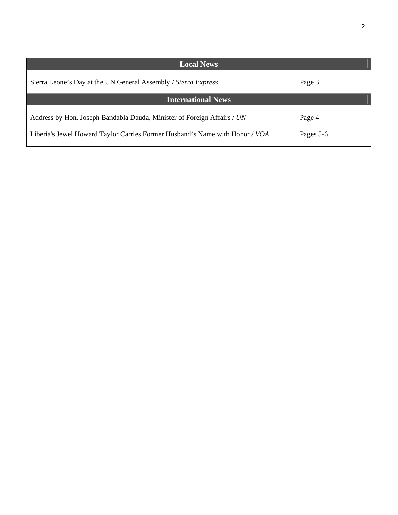| <b>Local News</b>                                                                                                                                       |                     |
|---------------------------------------------------------------------------------------------------------------------------------------------------------|---------------------|
| Sierra Leone's Day at the UN General Assembly / Sierra Express                                                                                          | Page 3              |
| <b>International News</b>                                                                                                                               |                     |
| Address by Hon. Joseph Bandabla Dauda, Minister of Foreign Affairs / UN<br>Liberia's Jewel Howard Taylor Carries Former Husband's Name with Honor / VOA | Page 4<br>Pages 5-6 |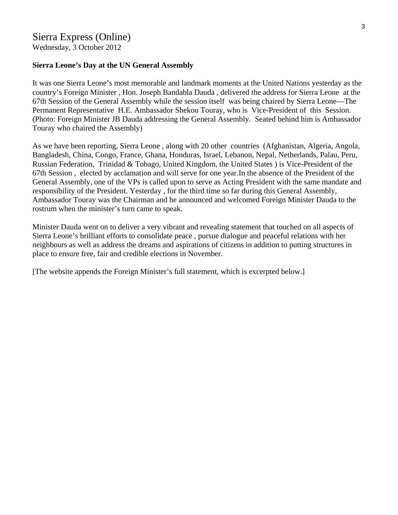Wednesday, 3 October 2012

#### **Sierra Leone's Day at the UN General Assembly**

It was one Sierra Leone's most memorable and landmark moments at the United Nations yesterday as the country's Foreign Minister , Hon. Joseph Bandabla Dauda , delivered the address for Sierra Leone at the 67th Session of the General Assembly while the session itself was being chaired by Sierra Leone—The Permanent Representative H.E. Ambassador Shekou Touray, who is Vice-President of this Session. (Photo: Foreign Minister JB Dauda addressing the General Assembly. Seated behind him is Ambassador Touray who chaired the Assembly)

As we have been reporting, Sierra Leone , along with 20 other countries (Afghanistan, Algeria, Angola, Bangladesh, China, Congo, France, Ghana, Honduras, Israel, Lebanon, Nepal, Netherlands, Palau, Peru, Russian Federation, Trinidad & Tobago, United Kingdom, the United States ) is Vice-President of the 67th Session , elected by acclamation and will serve for one year.In the absence of the President of the General Assembly, one of the VPs is called upon to serve as Acting President with the same mandate and responsibility of the President. Yesterday , for the third time so far during this General Assembly, Ambassador Touray was the Chairman and he announced and welcomed Foreign Minister Dauda to the rostrum when the minister's turn came to speak.

Minister Dauda went on to deliver a very vibrant and revealing statement that touched on all aspects of Sierra Leone's brilliant efforts to consolidate peace , pursue dialogue and peaceful relations with her neighbours as well as address the dreams and aspirations of citizens in addition to putting structures in place to ensure free, fair and credible elections in November.

[The website appends the Foreign Minister's full statement, which is excerpted below.]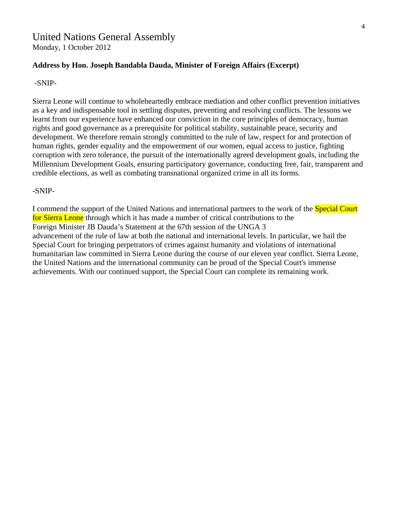# United Nations General Assembly

Monday, 1 October 2012

#### **Address by Hon. Joseph Bandabla Dauda, Minister of Foreign Affairs (Excerpt)**

#### -SNIP-

Sierra Leone will continue to wholeheartedly embrace mediation and other conflict prevention initiatives as a key and indispensable tool in settling disputes, preventing and resolving conflicts. The lessons we learnt from our experience have enhanced our conviction in the core principles of democracy, human rights and good governance as a prerequisite for political stability, sustainable peace, security and development. We therefore remain strongly committed to the rule of law, respect for and protection of human rights, gender equality and the empowerment of our women, equal access to justice, fighting corruption with zero tolerance, the pursuit of the internationally agreed development goals, including the Millennium Development Goals, ensuring participatory governance, conducting free, fair, transparent and credible elections, as well as combating transnational organized crime in all its forms.

#### -SNIP-

I commend the support of the United Nations and international partners to the work of the Special Court for Sierra Leone through which it has made a number of critical contributions to the Foreign Minister JB Dauda's Statement at the 67th session of the UNGA 3 advancement of the rule of law at both the national and international levels. In particular, we hail the Special Court for bringing perpetrators of crimes against humanity and violations of international humanitarian law committed in Sierra Leone during the course of our eleven year conflict. Sierra Leone, the United Nations and the international community can be proud of the Special Court's immense achievements. With our continued support, the Special Court can complete its remaining work.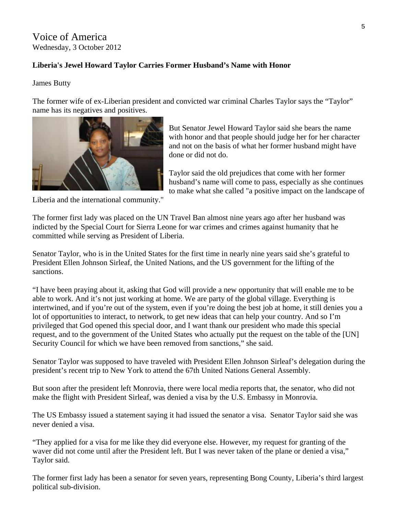# Voice of America Wednesday, 3 October 2012

### **Liberia's Jewel Howard Taylor Carries Former Husband's Name with Honor**

#### James Butty

The former wife of ex-Liberian president and convicted war criminal Charles Taylor says the "Taylor" name has its negatives and positives.



But Senator Jewel Howard Taylor said she bears the name with honor and that people should judge her for her character and not on the basis of what her former husband might have done or did not do.

Taylor said the old prejudices that come with her former husband's name will come to pass, especially as she continues to make what she called "a positive impact on the landscape of

Liberia and the international community."

The former first lady was placed on the UN Travel Ban almost nine years ago after her husband was indicted by the Special Court for Sierra Leone for war crimes and crimes against humanity that he committed while serving as President of Liberia.

Senator Taylor, who is in the United States for the first time in nearly nine years said she's grateful to President Ellen Johnson Sirleaf, the United Nations, and the US government for the lifting of the sanctions.

"I have been praying about it, asking that God will provide a new opportunity that will enable me to be able to work. And it's not just working at home. We are party of the global village. Everything is intertwined, and if you're out of the system, even if you're doing the best job at home, it still denies you a lot of opportunities to interact, to network, to get new ideas that can help your country. And so I'm privileged that God opened this special door, and I want thank our president who made this special request, and to the government of the United States who actually put the request on the table of the [UN] Security Council for which we have been removed from sanctions," she said.

Senator Taylor was supposed to have traveled with President Ellen Johnson Sirleaf's delegation during the president's recent trip to New York to attend the 67th United Nations General Assembly.

But soon after the president left Monrovia, there were local media reports that, the senator, who did not make the flight with President Sirleaf, was denied a visa by the U.S. Embassy in Monrovia.

The US Embassy issued a statement saying it had issued the senator a visa. Senator Taylor said she was never denied a visa.

"They applied for a visa for me like they did everyone else. However, my request for granting of the waver did not come until after the President left. But I was never taken of the plane or denied a visa," Taylor said.

The former first lady has been a senator for seven years, representing Bong County, Liberia's third largest political sub-division.